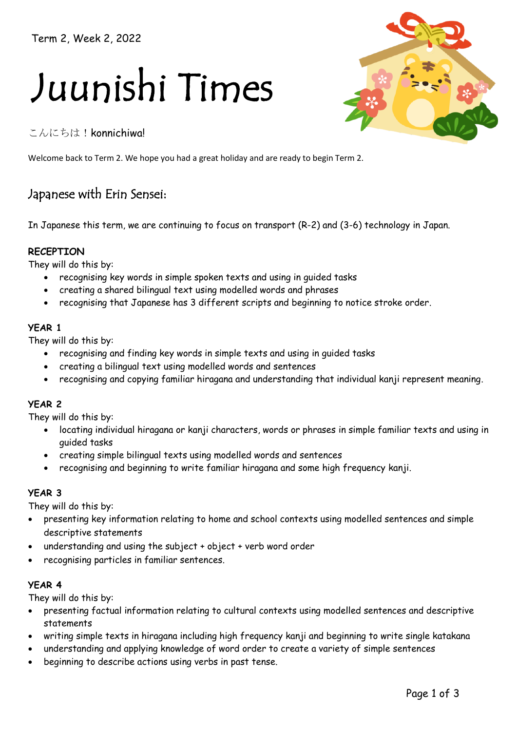Term 2, Week 2, 2022

# Juunishi Times

こんにちは!konnichiwa!



# Japanese with Erin Sensei:

In Japanese this term, we are continuing to focus on transport (R-2) and (3-6) technology in Japan.

## **RECEPTION**

They will do this by:

- recognising key words in simple spoken texts and using in guided tasks
- creating a shared bilingual text using modelled words and phrases
- recognising that Japanese has 3 different scripts and beginning to notice stroke order.

#### **YEAR 1**

They will do this by:

- recognising and finding key words in simple texts and using in guided tasks
- creating a bilingual text using modelled words and sentences
- recognising and copying familiar hiragana and understanding that individual kanji represent meaning.

#### **YEAR 2**

They will do this by:

- locating individual hiragana or kanji characters, words or phrases in simple familiar texts and using in guided tasks
- creating simple bilingual texts using modelled words and sentences
- recognising and beginning to write familiar hiragana and some high frequency kanji.

#### **YEAR 3**

They will do this by:

- presenting key information relating to home and school contexts using modelled sentences and simple descriptive statements
- understanding and using the subject + object + verb word order
- recognising particles in familiar sentences.

#### **YEAR 4**

They will do this by:

- presenting factual information relating to cultural contexts using modelled sentences and descriptive statements
- writing simple texts in hiragana including high frequency kanji and beginning to write single katakana
- understanding and applying knowledge of word order to create a variety of simple sentences
- beginning to describe actions using verbs in past tense.

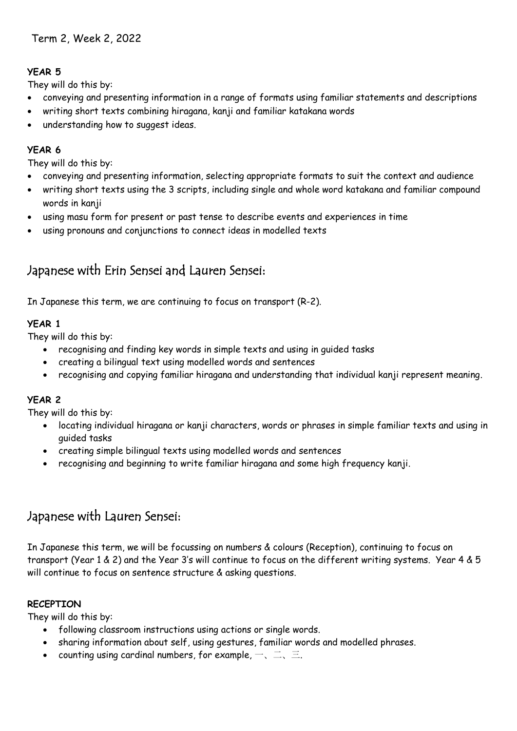# **YEAR 5**

They will do this by:

- conveying and presenting information in a range of formats using familiar statements and descriptions
- writing short texts combining hiragana, kanji and familiar katakana words
- understanding how to suggest ideas.

# **YEAR 6**

They will do this by:

- conveying and presenting information, selecting appropriate formats to suit the context and audience
- writing short texts using the 3 scripts, including single and whole word katakana and familiar compound words in kanji
- using masu form for present or past tense to describe events and experiences in time
- using pronouns and conjunctions to connect ideas in modelled texts

# Japanese with Erin Sensei and Lauren Sensei:

In Japanese this term, we are continuing to focus on transport (R-2).

# **YEAR 1**

They will do this by:

- recognising and finding key words in simple texts and using in guided tasks
- creating a bilingual text using modelled words and sentences
- recognising and copying familiar hiragana and understanding that individual kanji represent meaning.

# **YEAR 2**

They will do this by:

- locating individual hiragana or kanji characters, words or phrases in simple familiar texts and using in guided tasks
- creating simple bilingual texts using modelled words and sentences
- recognising and beginning to write familiar hiragana and some high frequency kanji.

# Japanese with Lauren Sensei:

In Japanese this term, we will be focussing on numbers & colours (Reception), continuing to focus on transport (Year 1 & 2) and the Year 3's will continue to focus on the different writing systems. Year 4 & 5 will continue to focus on sentence structure & asking questions.

# **RECEPTION**

They will do this by:

- following classroom instructions using actions or single words.
- sharing information about self, using gestures, familiar words and modelled phrases.
- counting using cardinal numbers, for example,  $-$ ,  $\equiv$ ,  $\equiv$ .